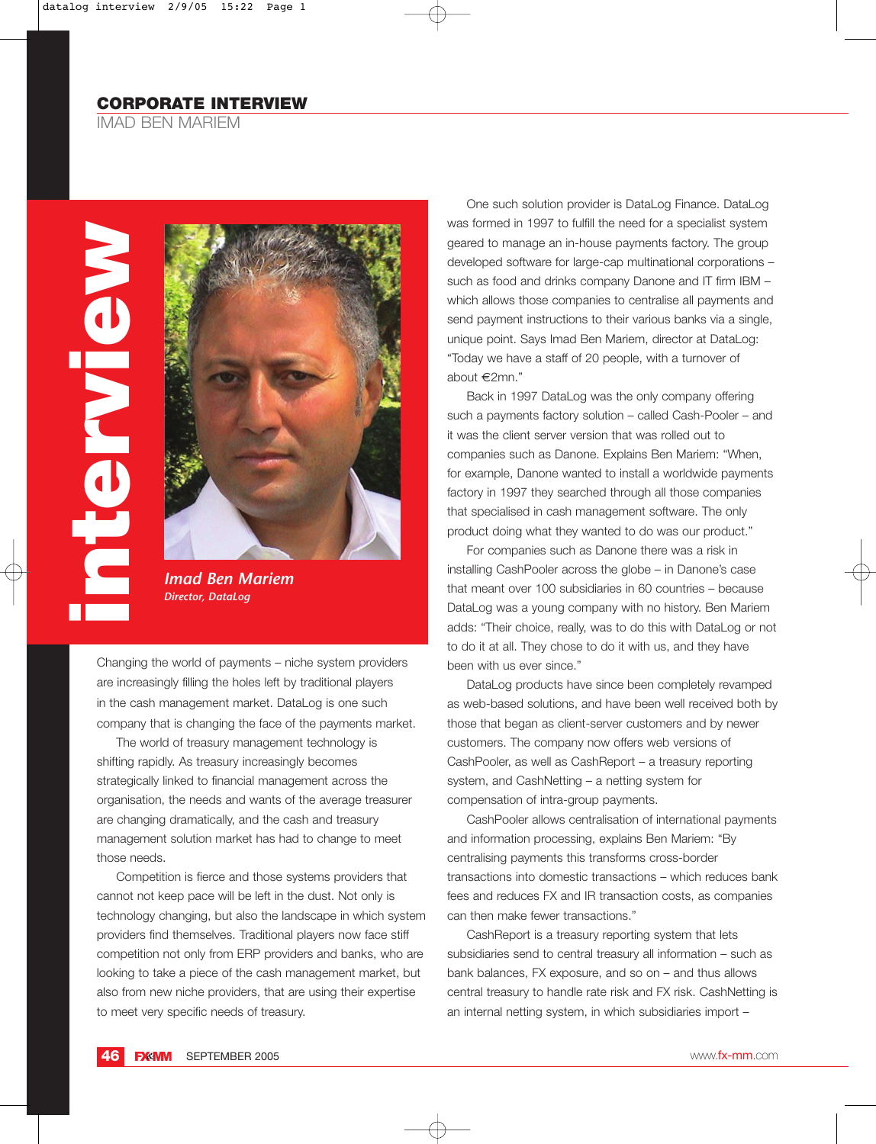IMAD BEN MARIEM





*Imad Ben Mariem Director, DataLog*

Changing the world of payments – niche system providers are increasingly filling the holes left by traditional players in the cash management market. DataLog is one such company that is changing the face of the payments market.

The world of treasury management technology is shifting rapidly. As treasury increasingly becomes strategically linked to financial management across the organisation, the needs and wants of the average treasurer are changing dramatically, and the cash and treasury management solution market has had to change to meet those needs.

Competition is fierce and those systems providers that cannot not keep pace will be left in the dust. Not only is technology changing, but also the landscape in which system providers find themselves. Traditional players now face stiff competition not only from ERP providers and banks, who are looking to take a piece of the cash management market, but also from new niche providers, that are using their expertise to meet very specific needs of treasury.

One such solution provider is DataLog Finance. DataLog was formed in 1997 to fulfill the need for a specialist system geared to manage an in-house payments factory. The group developed software for large-cap multinational corporations – such as food and drinks company Danone and IT firm IBM – which allows those companies to centralise all payments and send payment instructions to their various banks via a single, unique point. Says Imad Ben Mariem, director at DataLog: "Today we have a staff of 20 people, with a turnover of about €2mn."

Back in 1997 DataLog was the only company offering such a payments factory solution – called Cash-Pooler – and it was the client server version that was rolled out to companies such as Danone. Explains Ben Mariem: "When, for example, Danone wanted to install a worldwide payments factory in 1997 they searched through all those companies that specialised in cash management software. The only product doing what they wanted to do was our product."

For companies such as Danone there was a risk in installing CashPooler across the globe – in Danone's case that meant over 100 subsidiaries in 60 countries – because DataLog was a young company with no history. Ben Mariem adds: "Their choice, really, was to do this with DataLog or not to do it at all. They chose to do it with us, and they have been with us ever since."

DataLog products have since been completely revamped as web-based solutions, and have been well received both by those that began as client-server customers and by newer customers. The company now offers web versions of CashPooler, as well as CashReport – a treasury reporting system, and CashNetting – a netting system for compensation of intra-group payments.

CashPooler allows centralisation of international payments and information processing, explains Ben Mariem: "By centralising payments this transforms cross-border transactions into domestic transactions – which reduces bank fees and reduces FX and IR transaction costs, as companies can then make fewer transactions."

CashReport is a treasury reporting system that lets subsidiaries send to central treasury all information – such as bank balances, FX exposure, and so on – and thus allows central treasury to handle rate risk and FX risk. CashNetting is an internal netting system, in which subsidiaries import –